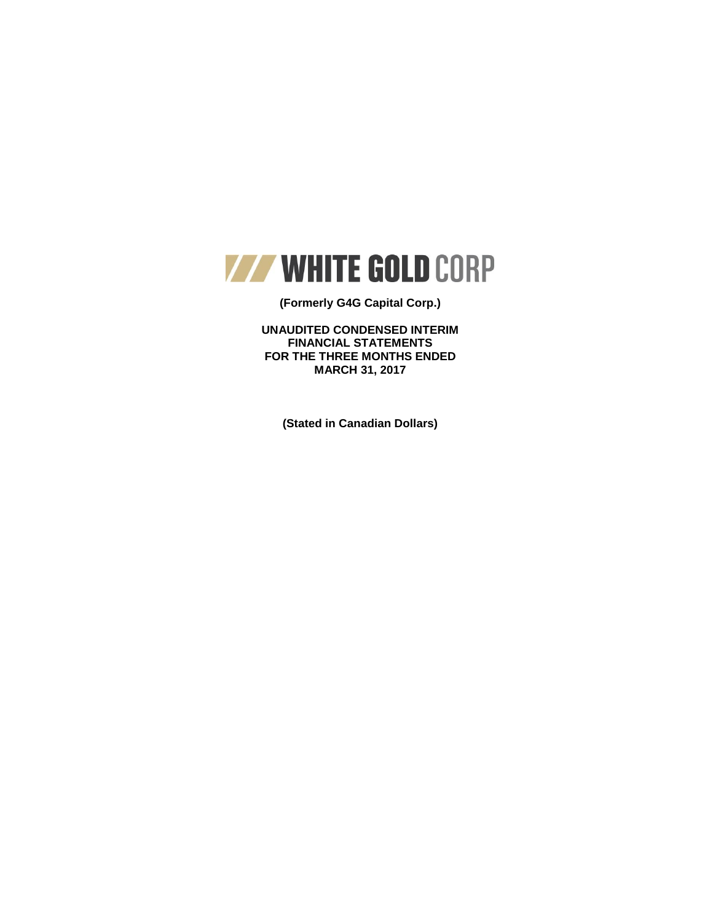

## **(Formerly G4G Capital Corp.)**

**UNAUDITED CONDENSED INTERIM FINANCIAL STATEMENTS FOR THE THREE MONTHS ENDED MARCH 31, 2017**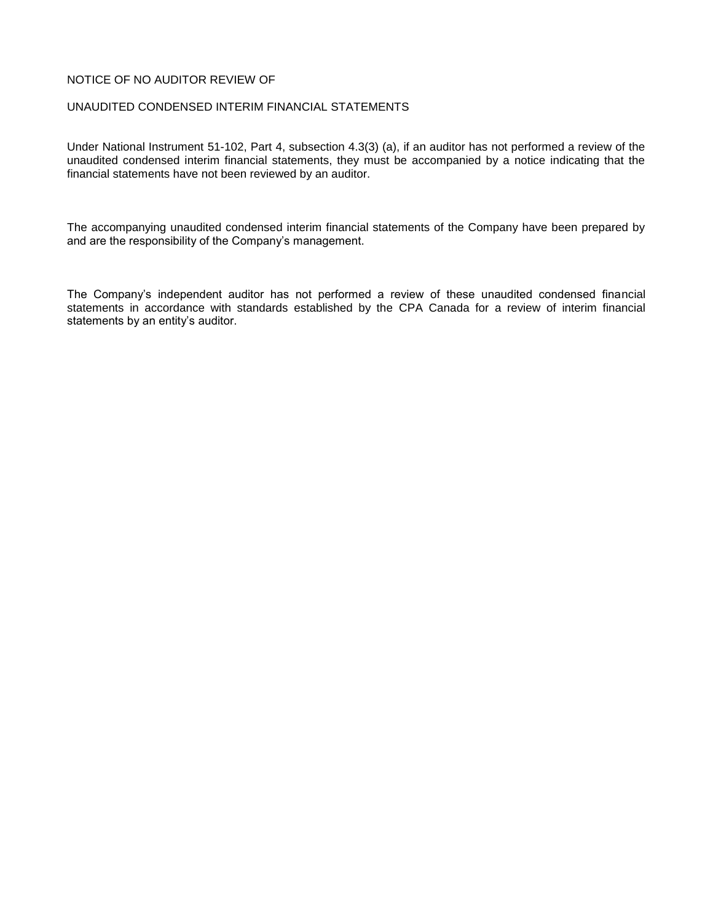## NOTICE OF NO AUDITOR REVIEW OF

### UNAUDITED CONDENSED INTERIM FINANCIAL STATEMENTS

Under National Instrument 51-102, Part 4, subsection 4.3(3) (a), if an auditor has not performed a review of the unaudited condensed interim financial statements, they must be accompanied by a notice indicating that the financial statements have not been reviewed by an auditor.

The accompanying unaudited condensed interim financial statements of the Company have been prepared by and are the responsibility of the Company's management.

The Company's independent auditor has not performed a review of these unaudited condensed financial statements in accordance with standards established by the CPA Canada for a review of interim financial statements by an entity's auditor.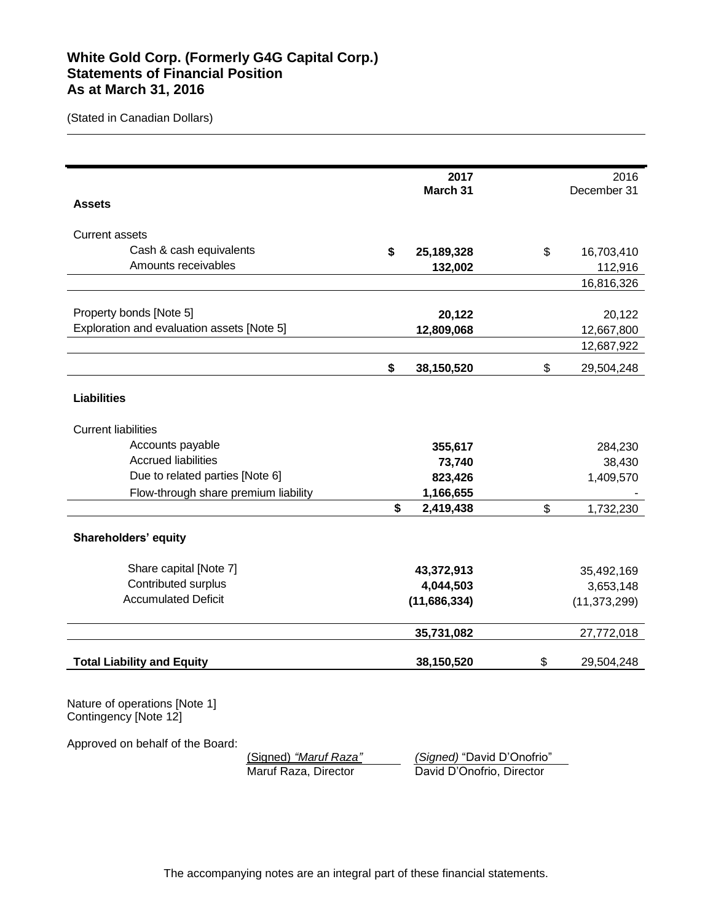# **White Gold Corp. (Formerly G4G Capital Corp.) Statements of Financial Position As at March 31, 2016**

(Stated in Canadian Dollars)

|                                                                                            | 2017             | 2016             |
|--------------------------------------------------------------------------------------------|------------------|------------------|
|                                                                                            | March 31         | December 31      |
| <b>Assets</b>                                                                              |                  |                  |
| <b>Current assets</b>                                                                      |                  |                  |
| Cash & cash equivalents                                                                    | \$<br>25,189,328 | \$<br>16,703,410 |
| Amounts receivables                                                                        | 132,002          | 112,916          |
|                                                                                            |                  | 16,816,326       |
|                                                                                            |                  |                  |
| Property bonds [Note 5]                                                                    | 20,122           | 20,122           |
| Exploration and evaluation assets [Note 5]                                                 | 12,809,068       | 12,667,800       |
|                                                                                            |                  | 12,687,922       |
|                                                                                            | \$<br>38,150,520 | \$<br>29,504,248 |
| <b>Liabilities</b>                                                                         |                  |                  |
| <b>Current liabilities</b>                                                                 |                  |                  |
| Accounts payable                                                                           | 355,617          | 284,230          |
| <b>Accrued liabilities</b>                                                                 | 73,740           | 38,430           |
| Due to related parties [Note 6]                                                            | 823,426          | 1,409,570        |
| Flow-through share premium liability                                                       | 1,166,655        |                  |
|                                                                                            | \$<br>2,419,438  | \$<br>1,732,230  |
| Shareholders' equity                                                                       |                  |                  |
| Share capital [Note 7]                                                                     | 43,372,913       | 35,492,169       |
| Contributed surplus                                                                        | 4,044,503        | 3,653,148        |
| <b>Accumulated Deficit</b>                                                                 | (11,686,334)     | (11, 373, 299)   |
|                                                                                            | 35,731,082       | 27,772,018       |
| <b>Total Liability and Equity</b>                                                          | 38,150,520       | \$<br>29,504,248 |
| Nature of operations [Note 1]<br>Contingency [Note 12]<br>Approved on behalf of the Board: |                  |                  |

(Signed) *"Maruf Raza" (Signed)* "David D'Onofrio"

David D'Onofrio, Director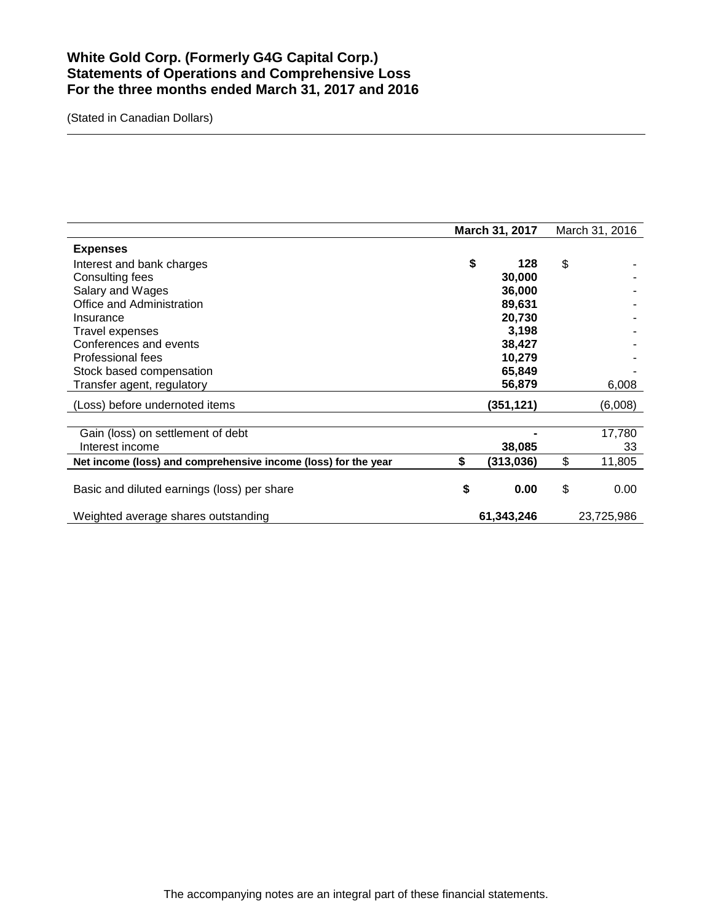# **White Gold Corp. (Formerly G4G Capital Corp.) Statements of Operations and Comprehensive Loss For the three months ended March 31, 2017 and 2016**

|                                                                | March 31, 2017 |            | March 31, 2016 |
|----------------------------------------------------------------|----------------|------------|----------------|
| <b>Expenses</b>                                                |                |            |                |
| Interest and bank charges                                      | \$             | 128        | \$             |
| Consulting fees                                                |                | 30,000     |                |
| Salary and Wages                                               |                | 36,000     |                |
| Office and Administration                                      |                | 89,631     |                |
| Insurance                                                      |                | 20,730     |                |
| Travel expenses                                                |                | 3,198      |                |
| Conferences and events                                         |                | 38,427     |                |
| Professional fees                                              |                | 10,279     |                |
| Stock based compensation                                       |                | 65,849     |                |
| Transfer agent, regulatory                                     |                | 56,879     | 6,008          |
| (Loss) before undernoted items                                 |                | (351,121)  | (6,008)        |
|                                                                |                |            |                |
| Gain (loss) on settlement of debt<br>Interest income           |                |            | 17,780<br>33   |
|                                                                |                | 38,085     | \$             |
| Net income (loss) and comprehensive income (loss) for the year | \$             | (313, 036) | 11,805         |
| Basic and diluted earnings (loss) per share                    | \$             | 0.00       | \$<br>0.00     |
| Weighted average shares outstanding                            |                | 61,343,246 | 23,725,986     |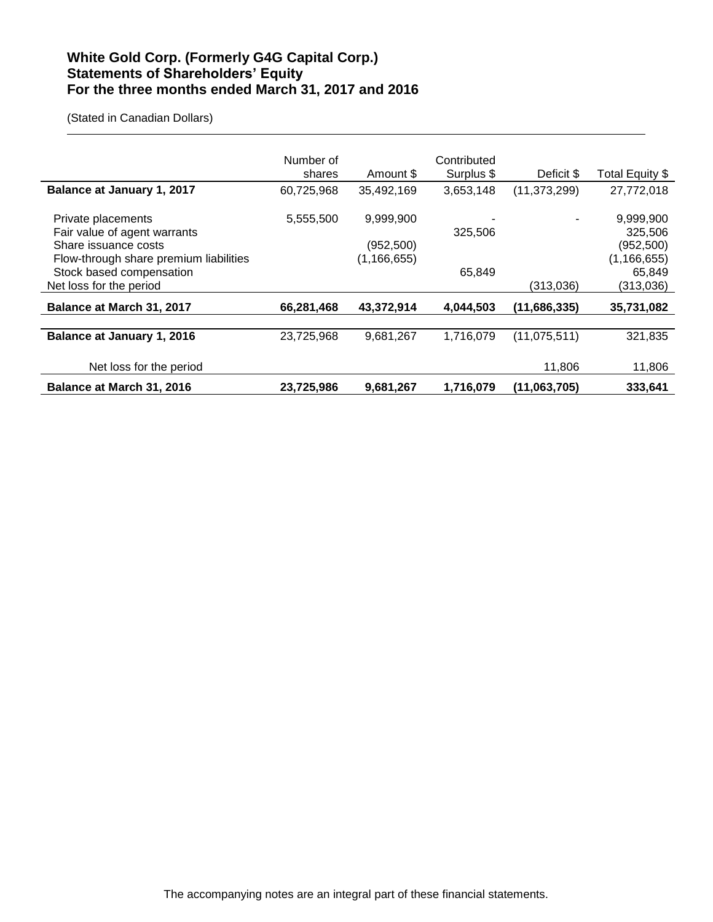# **White Gold Corp. (Formerly G4G Capital Corp.) Statements of Shareholders' Equity For the three months ended March 31, 2017 and 2016**

|                                                                | Number of<br>shares | Amount \$                  | Contributed<br>Surplus \$ | Deficit \$     | Total Equity \$            |
|----------------------------------------------------------------|---------------------|----------------------------|---------------------------|----------------|----------------------------|
| Balance at January 1, 2017                                     | 60,725,968          | 35,492,169                 | 3,653,148                 | (11, 373, 299) | 27,772,018                 |
| Private placements<br>Fair value of agent warrants             | 5,555,500           | 9,999,900                  | 325,506                   |                | 9,999,900<br>325,506       |
| Share issuance costs<br>Flow-through share premium liabilities |                     | (952,500)<br>(1, 166, 655) |                           |                | (952,500)<br>(1, 166, 655) |
| Stock based compensation<br>Net loss for the period            |                     |                            | 65,849                    | (313,036)      | 65,849<br>(313,036)        |
| <b>Balance at March 31, 2017</b>                               | 66,281,468          | 43,372,914                 | 4,044,503                 | (11,686,335)   | 35,731,082                 |
|                                                                |                     |                            |                           |                |                            |
| <b>Balance at January 1, 2016</b>                              | 23,725,968          | 9,681,267                  | 1,716,079                 | (11, 075, 511) | 321,835                    |
| Net loss for the period                                        |                     |                            |                           | 11,806         | 11,806                     |
| <b>Balance at March 31, 2016</b>                               | 23,725,986          | 9,681,267                  | 1,716,079                 | (11,063,705)   | 333,641                    |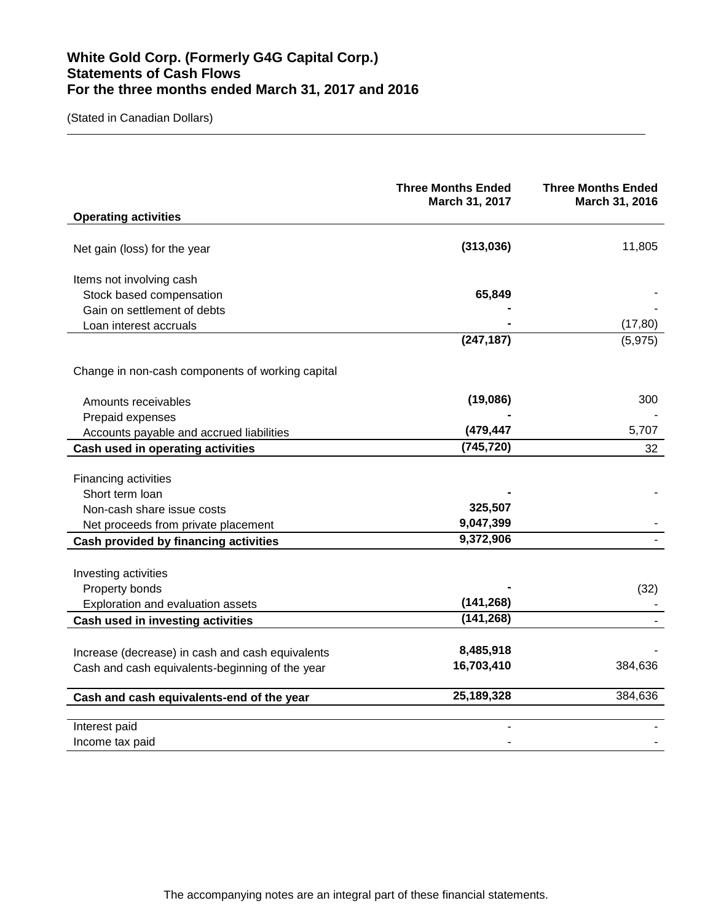# **White Gold Corp. (Formerly G4G Capital Corp.) Statements of Cash Flows For the three months ended March 31, 2017 and 2016**

|                                                                                                     | <b>Three Months Ended</b><br>March 31, 2017 | <b>Three Months Ended</b><br>March 31, 2016 |
|-----------------------------------------------------------------------------------------------------|---------------------------------------------|---------------------------------------------|
| <b>Operating activities</b>                                                                         |                                             |                                             |
| Net gain (loss) for the year                                                                        | (313,036)                                   | 11,805                                      |
| Items not involving cash                                                                            |                                             |                                             |
| Stock based compensation                                                                            | 65,849                                      |                                             |
| Gain on settlement of debts                                                                         |                                             |                                             |
| Loan interest accruals                                                                              |                                             | (17, 80)                                    |
|                                                                                                     | (247, 187)                                  | (5, 975)                                    |
| Change in non-cash components of working capital                                                    |                                             |                                             |
| Amounts receivables                                                                                 | (19,086)                                    | 300                                         |
| Prepaid expenses                                                                                    |                                             |                                             |
| Accounts payable and accrued liabilities                                                            | (479,447                                    | 5,707                                       |
| Cash used in operating activities                                                                   | (745, 720)                                  | 32                                          |
| Financing activities<br>Short term loan<br>Non-cash share issue costs                               | 325,507                                     |                                             |
| Net proceeds from private placement                                                                 | 9,047,399                                   |                                             |
| Cash provided by financing activities                                                               | 9,372,906                                   |                                             |
| Investing activities<br>Property bonds<br>Exploration and evaluation assets                         | (141, 268)<br>(141, 268)                    | (32)                                        |
| Cash used in investing activities                                                                   |                                             |                                             |
| Increase (decrease) in cash and cash equivalents<br>Cash and cash equivalents-beginning of the year | 8,485,918<br>16,703,410                     | 384,636                                     |
| Cash and cash equivalents-end of the year                                                           | 25,189,328                                  | 384,636                                     |
| Interest paid<br>Income tax paid                                                                    |                                             |                                             |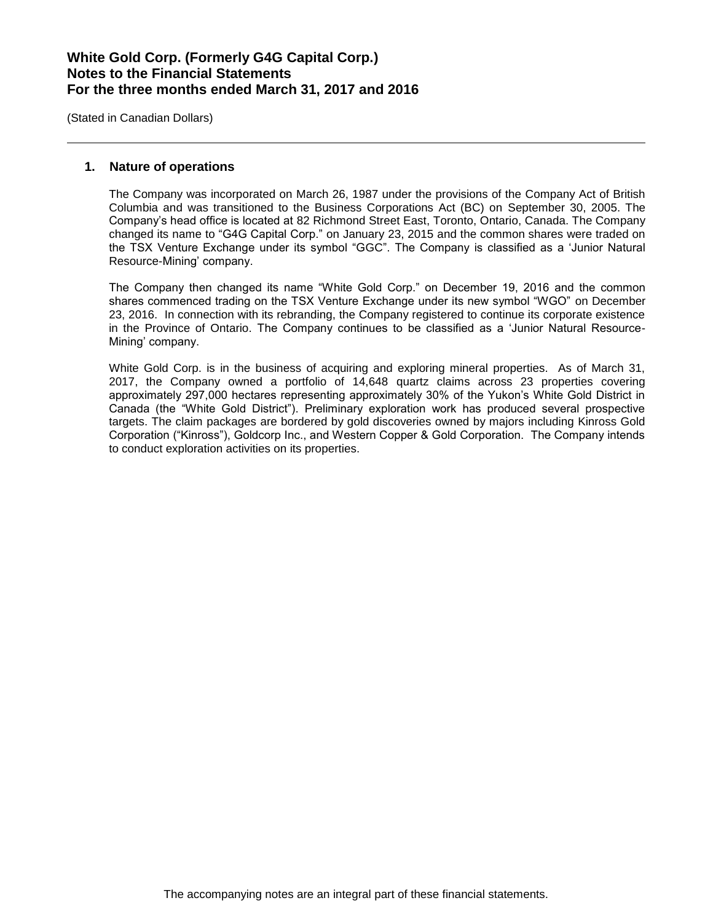(Stated in Canadian Dollars)

### **1. Nature of operations**

The Company was incorporated on March 26, 1987 under the provisions of the Company Act of British Columbia and was transitioned to the Business Corporations Act (BC) on September 30, 2005. The Company's head office is located at 82 Richmond Street East, Toronto, Ontario, Canada. The Company changed its name to "G4G Capital Corp." on January 23, 2015 and the common shares were traded on the TSX Venture Exchange under its symbol "GGC". The Company is classified as a 'Junior Natural Resource-Mining' company.

The Company then changed its name "White Gold Corp." on December 19, 2016 and the common shares commenced trading on the TSX Venture Exchange under its new symbol "WGO" on December 23, 2016. In connection with its rebranding, the Company registered to continue its corporate existence in the Province of Ontario. The Company continues to be classified as a 'Junior Natural Resource-Mining' company.

White Gold Corp. is in the business of acquiring and exploring mineral properties. As of March 31, 2017, the Company owned a portfolio of 14,648 quartz claims across 23 properties covering approximately 297,000 hectares representing approximately 30% of the Yukon's White Gold District in Canada (the "White Gold District"). Preliminary exploration work has produced several prospective targets. The claim packages are bordered by gold discoveries owned by majors including Kinross Gold Corporation ("Kinross"), Goldcorp Inc., and Western Copper & Gold Corporation. The Company intends to conduct exploration activities on its properties.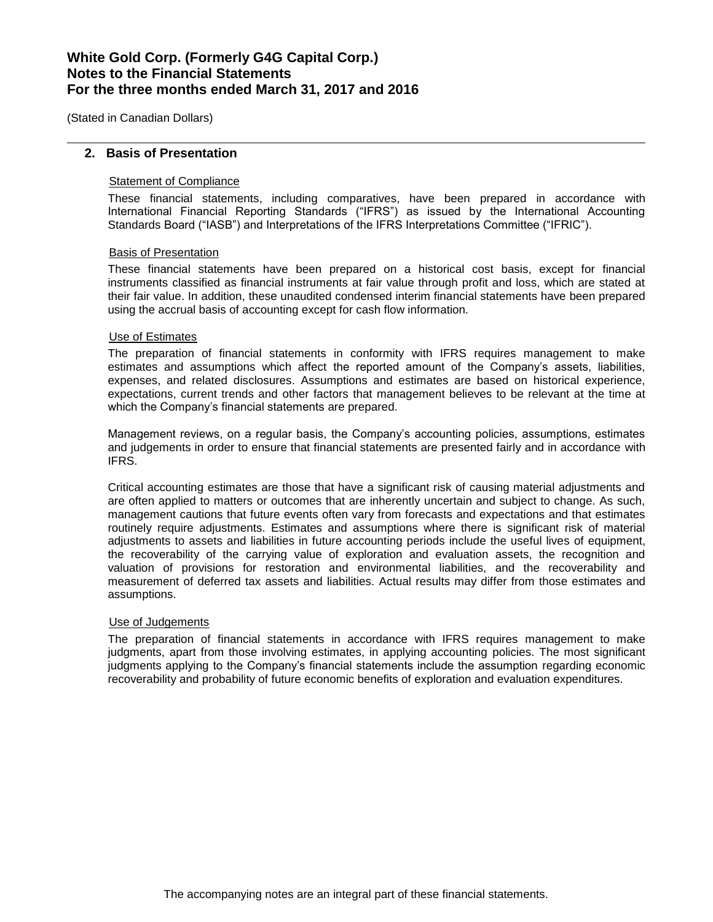(Stated in Canadian Dollars)

### **2. Basis of Presentation**

## Statement of Compliance

These financial statements, including comparatives, have been prepared in accordance with International Financial Reporting Standards ("IFRS") as issued by the International Accounting Standards Board ("IASB") and Interpretations of the IFRS Interpretations Committee ("IFRIC").

### Basis of Presentation

These financial statements have been prepared on a historical cost basis, except for financial instruments classified as financial instruments at fair value through profit and loss, which are stated at their fair value. In addition, these unaudited condensed interim financial statements have been prepared using the accrual basis of accounting except for cash flow information.

#### Use of Estimates

The preparation of financial statements in conformity with IFRS requires management to make estimates and assumptions which affect the reported amount of the Company's assets, liabilities, expenses, and related disclosures. Assumptions and estimates are based on historical experience, expectations, current trends and other factors that management believes to be relevant at the time at which the Company's financial statements are prepared.

Management reviews, on a regular basis, the Company's accounting policies, assumptions, estimates and judgements in order to ensure that financial statements are presented fairly and in accordance with IFRS.

Critical accounting estimates are those that have a significant risk of causing material adjustments and are often applied to matters or outcomes that are inherently uncertain and subject to change. As such, management cautions that future events often vary from forecasts and expectations and that estimates routinely require adjustments. Estimates and assumptions where there is significant risk of material adjustments to assets and liabilities in future accounting periods include the useful lives of equipment, the recoverability of the carrying value of exploration and evaluation assets, the recognition and valuation of provisions for restoration and environmental liabilities, and the recoverability and measurement of deferred tax assets and liabilities. Actual results may differ from those estimates and assumptions.

#### Use of Judgements

The preparation of financial statements in accordance with IFRS requires management to make judgments, apart from those involving estimates, in applying accounting policies. The most significant judgments applying to the Company's financial statements include the assumption regarding economic recoverability and probability of future economic benefits of exploration and evaluation expenditures.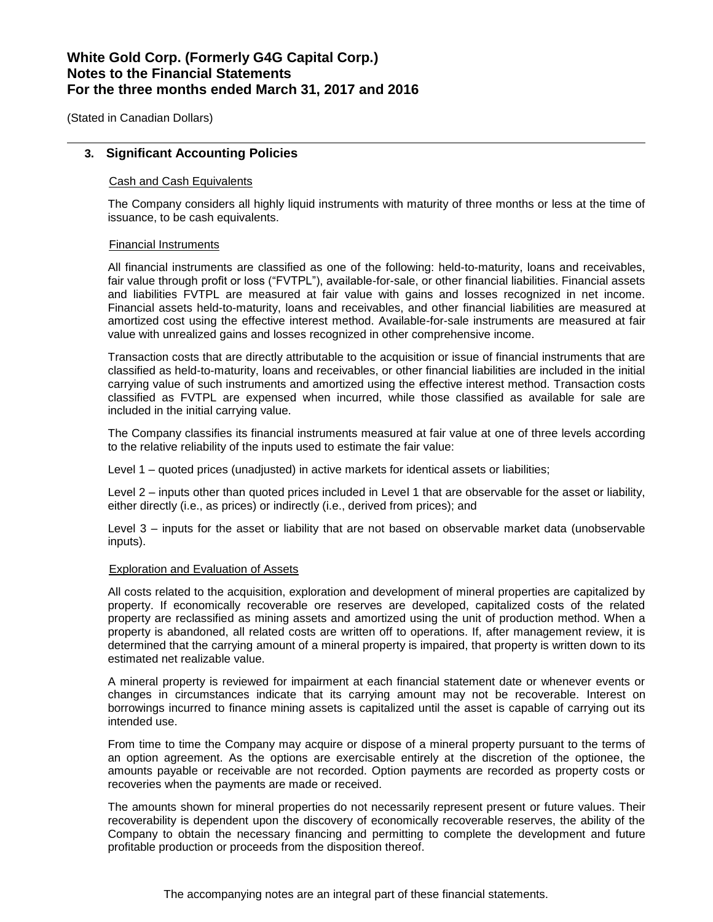(Stated in Canadian Dollars)

### **3. Significant Accounting Policies**

### Cash and Cash Equivalents

The Company considers all highly liquid instruments with maturity of three months or less at the time of issuance, to be cash equivalents.

### Financial Instruments

All financial instruments are classified as one of the following: held-to-maturity, loans and receivables, fair value through profit or loss ("FVTPL"), available-for-sale, or other financial liabilities. Financial assets and liabilities FVTPL are measured at fair value with gains and losses recognized in net income. Financial assets held-to-maturity, loans and receivables, and other financial liabilities are measured at amortized cost using the effective interest method. Available-for-sale instruments are measured at fair value with unrealized gains and losses recognized in other comprehensive income.

Transaction costs that are directly attributable to the acquisition or issue of financial instruments that are classified as held-to-maturity, loans and receivables, or other financial liabilities are included in the initial carrying value of such instruments and amortized using the effective interest method. Transaction costs classified as FVTPL are expensed when incurred, while those classified as available for sale are included in the initial carrying value.

The Company classifies its financial instruments measured at fair value at one of three levels according to the relative reliability of the inputs used to estimate the fair value:

Level 1 – quoted prices (unadjusted) in active markets for identical assets or liabilities;

Level 2 – inputs other than quoted prices included in Level 1 that are observable for the asset or liability, either directly (i.e., as prices) or indirectly (i.e., derived from prices); and

Level 3 – inputs for the asset or liability that are not based on observable market data (unobservable inputs).

#### Exploration and Evaluation of Assets

All costs related to the acquisition, exploration and development of mineral properties are capitalized by property. If economically recoverable ore reserves are developed, capitalized costs of the related property are reclassified as mining assets and amortized using the unit of production method. When a property is abandoned, all related costs are written off to operations. If, after management review, it is determined that the carrying amount of a mineral property is impaired, that property is written down to its estimated net realizable value.

A mineral property is reviewed for impairment at each financial statement date or whenever events or changes in circumstances indicate that its carrying amount may not be recoverable. Interest on borrowings incurred to finance mining assets is capitalized until the asset is capable of carrying out its intended use.

From time to time the Company may acquire or dispose of a mineral property pursuant to the terms of an option agreement. As the options are exercisable entirely at the discretion of the optionee, the amounts payable or receivable are not recorded. Option payments are recorded as property costs or recoveries when the payments are made or received.

The amounts shown for mineral properties do not necessarily represent present or future values. Their recoverability is dependent upon the discovery of economically recoverable reserves, the ability of the Company to obtain the necessary financing and permitting to complete the development and future profitable production or proceeds from the disposition thereof.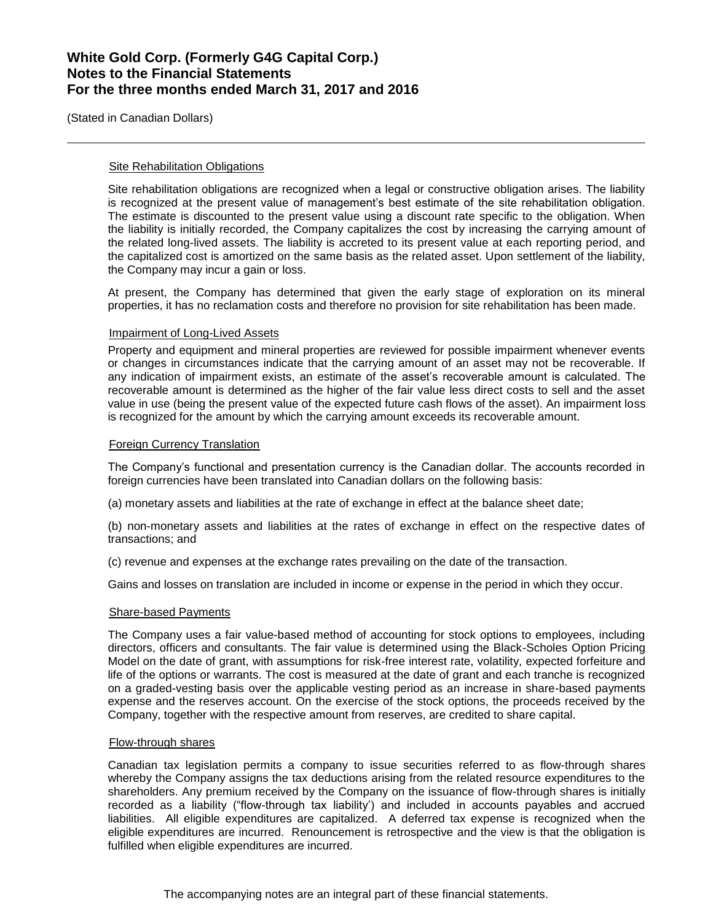(Stated in Canadian Dollars)

### **Site Rehabilitation Obligations**

Site rehabilitation obligations are recognized when a legal or constructive obligation arises. The liability is recognized at the present value of management's best estimate of the site rehabilitation obligation. The estimate is discounted to the present value using a discount rate specific to the obligation. When the liability is initially recorded, the Company capitalizes the cost by increasing the carrying amount of the related long-lived assets. The liability is accreted to its present value at each reporting period, and the capitalized cost is amortized on the same basis as the related asset. Upon settlement of the liability, the Company may incur a gain or loss.

At present, the Company has determined that given the early stage of exploration on its mineral properties, it has no reclamation costs and therefore no provision for site rehabilitation has been made.

### Impairment of Long-Lived Assets

Property and equipment and mineral properties are reviewed for possible impairment whenever events or changes in circumstances indicate that the carrying amount of an asset may not be recoverable. If any indication of impairment exists, an estimate of the asset's recoverable amount is calculated. The recoverable amount is determined as the higher of the fair value less direct costs to sell and the asset value in use (being the present value of the expected future cash flows of the asset). An impairment loss is recognized for the amount by which the carrying amount exceeds its recoverable amount.

### Foreign Currency Translation

The Company's functional and presentation currency is the Canadian dollar. The accounts recorded in foreign currencies have been translated into Canadian dollars on the following basis:

(a) monetary assets and liabilities at the rate of exchange in effect at the balance sheet date;

(b) non-monetary assets and liabilities at the rates of exchange in effect on the respective dates of transactions; and

(c) revenue and expenses at the exchange rates prevailing on the date of the transaction.

Gains and losses on translation are included in income or expense in the period in which they occur.

#### Share-based Payments

The Company uses a fair value-based method of accounting for stock options to employees, including directors, officers and consultants. The fair value is determined using the Black-Scholes Option Pricing Model on the date of grant, with assumptions for risk-free interest rate, volatility, expected forfeiture and life of the options or warrants. The cost is measured at the date of grant and each tranche is recognized on a graded-vesting basis over the applicable vesting period as an increase in share-based payments expense and the reserves account. On the exercise of the stock options, the proceeds received by the Company, together with the respective amount from reserves, are credited to share capital.

### Flow-through shares

Canadian tax legislation permits a company to issue securities referred to as flow-through shares whereby the Company assigns the tax deductions arising from the related resource expenditures to the shareholders. Any premium received by the Company on the issuance of flow-through shares is initially recorded as a liability ("flow-through tax liability') and included in accounts payables and accrued liabilities. All eligible expenditures are capitalized. A deferred tax expense is recognized when the eligible expenditures are incurred. Renouncement is retrospective and the view is that the obligation is fulfilled when eligible expenditures are incurred.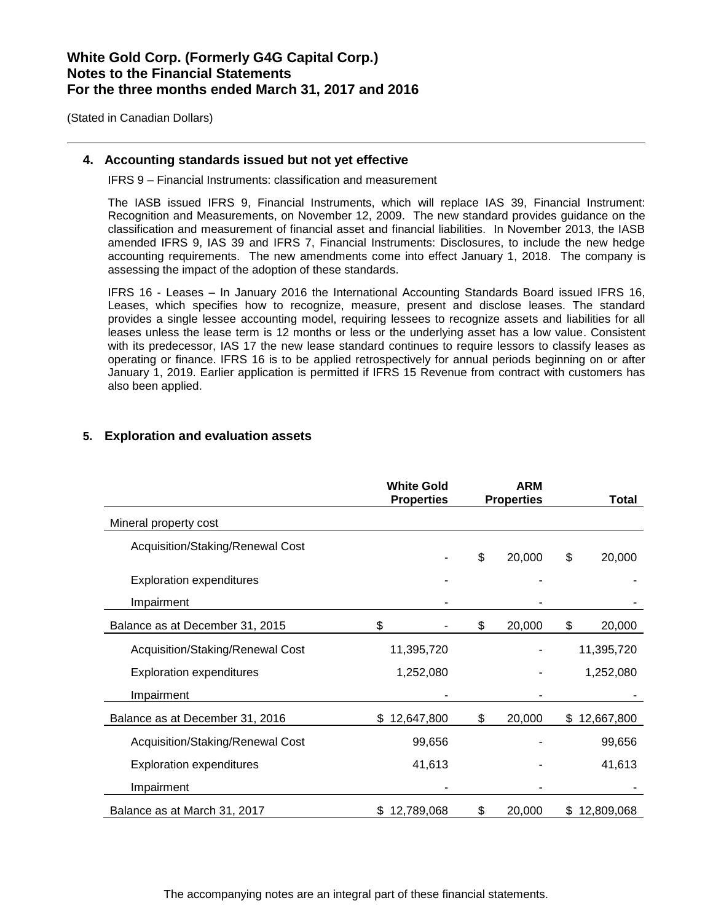(Stated in Canadian Dollars)

## **4. Accounting standards issued but not yet effective**

IFRS 9 – Financial Instruments: classification and measurement

The IASB issued IFRS 9, Financial Instruments, which will replace IAS 39, Financial Instrument: Recognition and Measurements, on November 12, 2009. The new standard provides guidance on the classification and measurement of financial asset and financial liabilities. In November 2013, the IASB amended IFRS 9, IAS 39 and IFRS 7, Financial Instruments: Disclosures, to include the new hedge accounting requirements. The new amendments come into effect January 1, 2018. The company is assessing the impact of the adoption of these standards.

IFRS 16 - Leases – In January 2016 the International Accounting Standards Board issued IFRS 16, Leases, which specifies how to recognize, measure, present and disclose leases. The standard provides a single lessee accounting model, requiring lessees to recognize assets and liabilities for all leases unless the lease term is 12 months or less or the underlying asset has a low value. Consistent with its predecessor, IAS 17 the new lease standard continues to require lessors to classify leases as operating or finance. IFRS 16 is to be applied retrospectively for annual periods beginning on or after January 1, 2019. Earlier application is permitted if IFRS 15 Revenue from contract with customers has also been applied.

|                                  | <b>White Gold</b><br><b>Properties</b> | <b>ARM</b><br><b>Properties</b> |        | <b>Total</b> |
|----------------------------------|----------------------------------------|---------------------------------|--------|--------------|
| Mineral property cost            |                                        |                                 |        |              |
|                                  |                                        |                                 |        |              |
| Acquisition/Staking/Renewal Cost |                                        | \$                              | 20,000 | \$<br>20,000 |
| <b>Exploration expenditures</b>  |                                        |                                 |        |              |
| Impairment                       |                                        |                                 |        |              |
| Balance as at December 31, 2015  | \$                                     | \$                              | 20,000 | \$<br>20,000 |
| Acquisition/Staking/Renewal Cost | 11,395,720                             |                                 |        | 11,395,720   |
| <b>Exploration expenditures</b>  | 1,252,080                              |                                 |        | 1,252,080    |
| Impairment                       |                                        |                                 |        |              |
| Balance as at December 31, 2016  | \$12,647,800                           | \$                              | 20,000 | \$12,667,800 |
| Acquisition/Staking/Renewal Cost | 99,656                                 |                                 |        | 99,656       |
| <b>Exploration expenditures</b>  | 41,613                                 |                                 |        | 41,613       |
| Impairment                       |                                        |                                 |        |              |
| Balance as at March 31, 2017     | \$12,789,068                           | \$                              | 20,000 | \$12,809,068 |

## **5. Exploration and evaluation assets**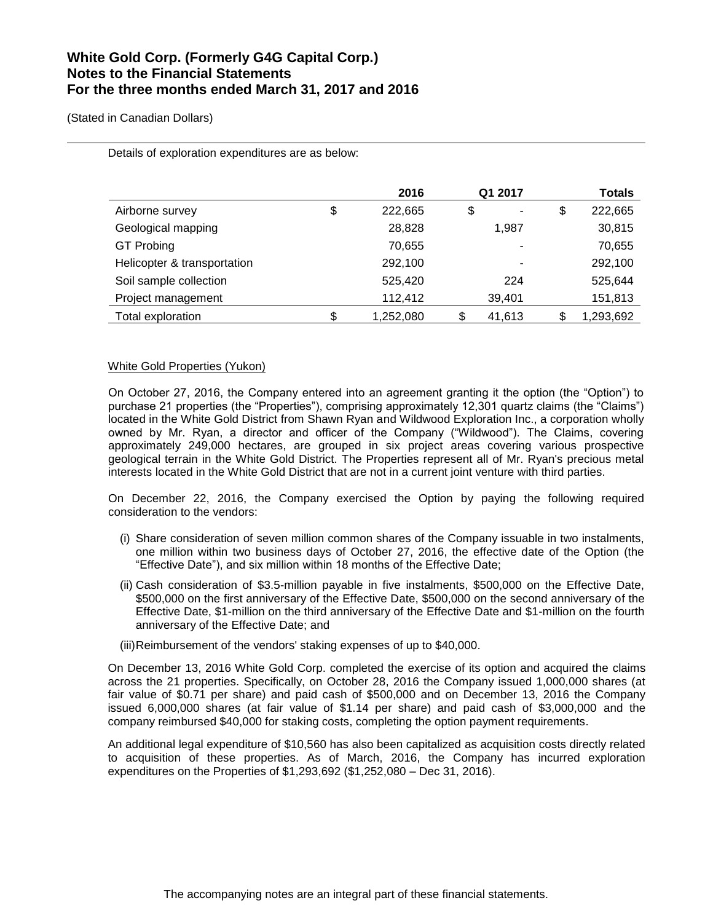(Stated in Canadian Dollars)

|                             | 2016            | Q1 2017      | <b>Totals</b> |
|-----------------------------|-----------------|--------------|---------------|
| Airborne survey             | \$<br>222,665   | \$           | \$<br>222,665 |
| Geological mapping          | 28,828          | 1,987        | 30,815        |
| <b>GT Probing</b>           | 70,655          | ۰            | 70,655        |
| Helicopter & transportation | 292,100         |              | 292,100       |
| Soil sample collection      | 525,420         | 224          | 525,644       |
| Project management          | 112,412         | 39,401       | 151,813       |
| Total exploration           | \$<br>1,252,080 | \$<br>41,613 | 1,293,692     |

Details of exploration expenditures are as below:

### White Gold Properties (Yukon)

On October 27, 2016, the Company entered into an agreement granting it the option (the "Option") to purchase 21 properties (the "Properties"), comprising approximately 12,301 quartz claims (the "Claims") located in the White Gold District from Shawn Ryan and Wildwood Exploration Inc., a corporation wholly owned by Mr. Ryan, a director and officer of the Company ("Wildwood"). The Claims, covering approximately 249,000 hectares, are grouped in six project areas covering various prospective geological terrain in the White Gold District. The Properties represent all of Mr. Ryan's precious metal interests located in the White Gold District that are not in a current joint venture with third parties.

On December 22, 2016, the Company exercised the Option by paying the following required consideration to the vendors:

- (i) Share consideration of seven million common shares of the Company issuable in two instalments, one million within two business days of October 27, 2016, the effective date of the Option (the "Effective Date"), and six million within 18 months of the Effective Date;
- (ii) Cash consideration of \$3.5-million payable in five instalments, \$500,000 on the Effective Date, \$500,000 on the first anniversary of the Effective Date, \$500,000 on the second anniversary of the Effective Date, \$1-million on the third anniversary of the Effective Date and \$1-million on the fourth anniversary of the Effective Date; and

(iii)Reimbursement of the vendors' staking expenses of up to \$40,000.

On December 13, 2016 White Gold Corp. completed the exercise of its option and acquired the claims across the 21 properties. Specifically, on October 28, 2016 the Company issued 1,000,000 shares (at fair value of \$0.71 per share) and paid cash of \$500,000 and on December 13, 2016 the Company issued 6,000,000 shares (at fair value of \$1.14 per share) and paid cash of \$3,000,000 and the company reimbursed \$40,000 for staking costs, completing the option payment requirements.

An additional legal expenditure of \$10,560 has also been capitalized as acquisition costs directly related to acquisition of these properties. As of March, 2016, the Company has incurred exploration expenditures on the Properties of \$1,293,692 (\$1,252,080 – Dec 31, 2016).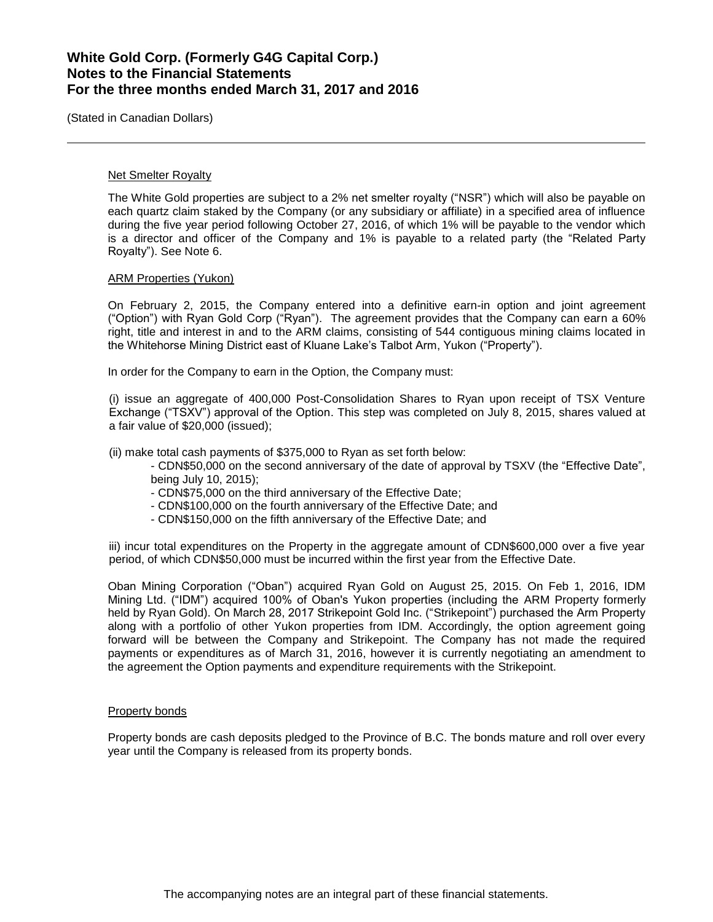(Stated in Canadian Dollars)

#### Net Smelter Royalty

The White Gold properties are subject to a 2% net smelter royalty ("NSR") which will also be payable on each quartz claim staked by the Company (or any subsidiary or affiliate) in a specified area of influence during the five year period following October 27, 2016, of which 1% will be payable to the vendor which is a director and officer of the Company and 1% is payable to a related party (the "Related Party Royalty"). See Note 6.

### ARM Properties (Yukon)

On February 2, 2015, the Company entered into a definitive earn-in option and joint agreement ("Option") with Ryan Gold Corp ("Ryan"). The agreement provides that the Company can earn a 60% right, title and interest in and to the ARM claims, consisting of 544 contiguous mining claims located in the Whitehorse Mining District east of Kluane Lake's Talbot Arm, Yukon ("Property").

In order for the Company to earn in the Option, the Company must:

(i) issue an aggregate of 400,000 Post-Consolidation Shares to Ryan upon receipt of TSX Venture Exchange ("TSXV") approval of the Option. This step was completed on July 8, 2015, shares valued at a fair value of \$20,000 (issued);

(ii) make total cash payments of \$375,000 to Ryan as set forth below:

- CDN\$50,000 on the second anniversary of the date of approval by TSXV (the "Effective Date", being July 10, 2015);
- CDN\$75,000 on the third anniversary of the Effective Date;
- CDN\$100,000 on the fourth anniversary of the Effective Date; and
- CDN\$150,000 on the fifth anniversary of the Effective Date; and

iii) incur total expenditures on the Property in the aggregate amount of CDN\$600,000 over a five year period, of which CDN\$50,000 must be incurred within the first year from the Effective Date.

Oban Mining Corporation ("Oban") acquired Ryan Gold on August 25, 2015. On Feb 1, 2016, IDM Mining Ltd. ("IDM") acquired 100% of Oban's Yukon properties (including the ARM Property formerly held by Ryan Gold). On March 28, 2017 Strikepoint Gold Inc. ("Strikepoint") purchased the Arm Property along with a portfolio of other Yukon properties from IDM. Accordingly, the option agreement going forward will be between the Company and Strikepoint. The Company has not made the required payments or expenditures as of March 31, 2016, however it is currently negotiating an amendment to the agreement the Option payments and expenditure requirements with the Strikepoint.

### Property bonds

Property bonds are cash deposits pledged to the Province of B.C. The bonds mature and roll over every year until the Company is released from its property bonds.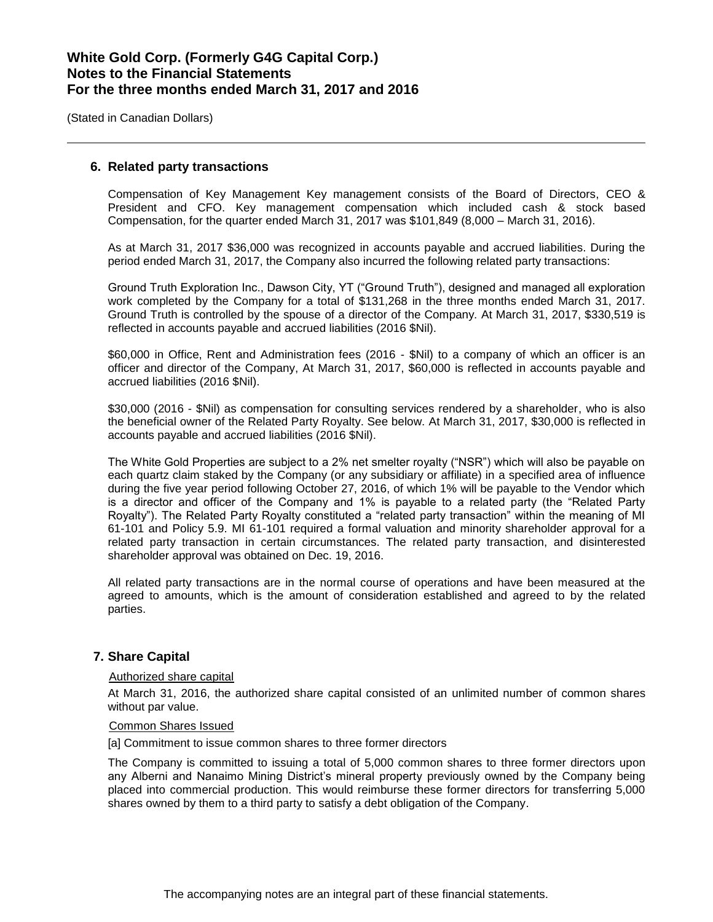(Stated in Canadian Dollars)

## **6. Related party transactions**

Compensation of Key Management Key management consists of the Board of Directors, CEO & President and CFO. Key management compensation which included cash & stock based Compensation, for the quarter ended March 31, 2017 was \$101,849 (8,000 – March 31, 2016).

As at March 31, 2017 \$36,000 was recognized in accounts payable and accrued liabilities. During the period ended March 31, 2017, the Company also incurred the following related party transactions:

Ground Truth Exploration Inc., Dawson City, YT ("Ground Truth"), designed and managed all exploration work completed by the Company for a total of \$131,268 in the three months ended March 31, 2017. Ground Truth is controlled by the spouse of a director of the Company. At March 31, 2017, \$330,519 is reflected in accounts payable and accrued liabilities (2016 \$Nil).

\$60,000 in Office, Rent and Administration fees (2016 - \$Nil) to a company of which an officer is an officer and director of the Company, At March 31, 2017, \$60,000 is reflected in accounts payable and accrued liabilities (2016 \$Nil).

\$30,000 (2016 - \$Nil) as compensation for consulting services rendered by a shareholder, who is also the beneficial owner of the Related Party Royalty. See below. At March 31, 2017, \$30,000 is reflected in accounts payable and accrued liabilities (2016 \$Nil).

The White Gold Properties are subject to a 2% net smelter royalty ("NSR") which will also be payable on each quartz claim staked by the Company (or any subsidiary or affiliate) in a specified area of influence during the five year period following October 27, 2016, of which 1% will be payable to the Vendor which is a director and officer of the Company and 1% is payable to a related party (the "Related Party Royalty"). The Related Party Royalty constituted a "related party transaction" within the meaning of MI 61-101 and Policy 5.9. MI 61-101 required a formal valuation and minority shareholder approval for a related party transaction in certain circumstances. The related party transaction, and disinterested shareholder approval was obtained on Dec. 19, 2016.

All related party transactions are in the normal course of operations and have been measured at the agreed to amounts, which is the amount of consideration established and agreed to by the related parties.

### **7. Share Capital**

#### Authorized share capital

At March 31, 2016, the authorized share capital consisted of an unlimited number of common shares without par value.

### Common Shares Issued

[a] Commitment to issue common shares to three former directors

The Company is committed to issuing a total of 5,000 common shares to three former directors upon any Alberni and Nanaimo Mining District's mineral property previously owned by the Company being placed into commercial production. This would reimburse these former directors for transferring 5,000 shares owned by them to a third party to satisfy a debt obligation of the Company.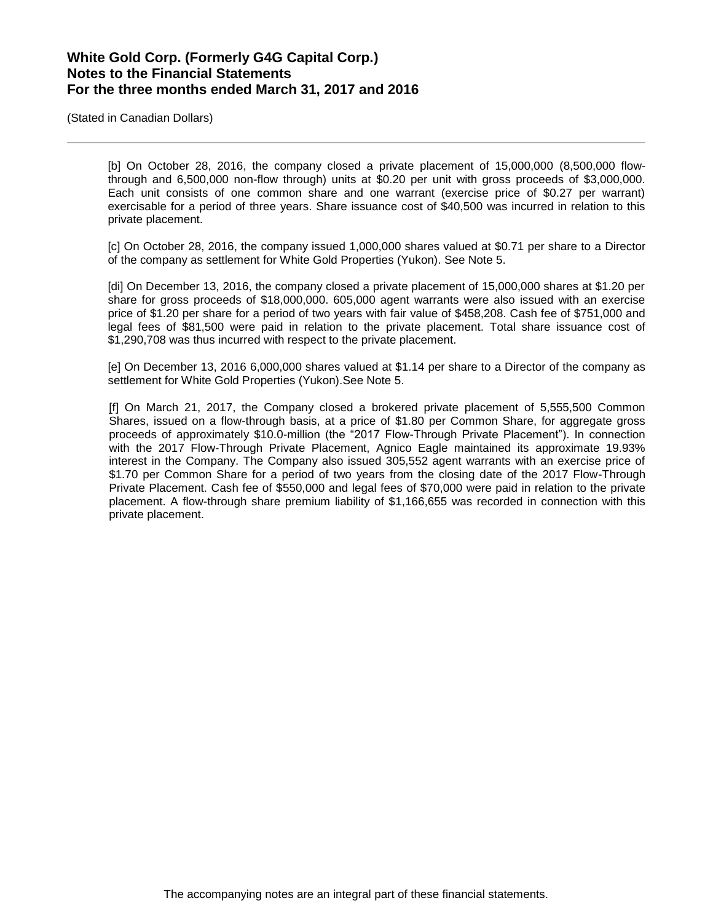(Stated in Canadian Dollars)

[b] On October 28, 2016, the company closed a private placement of 15,000,000 (8,500,000 flowthrough and 6,500,000 non-flow through) units at \$0.20 per unit with gross proceeds of \$3,000,000. Each unit consists of one common share and one warrant (exercise price of \$0.27 per warrant) exercisable for a period of three years. Share issuance cost of \$40,500 was incurred in relation to this private placement.

[c] On October 28, 2016, the company issued 1,000,000 shares valued at \$0.71 per share to a Director of the company as settlement for White Gold Properties (Yukon). See Note 5.

[di] On December 13, 2016, the company closed a private placement of 15,000,000 shares at \$1.20 per share for gross proceeds of \$18,000,000. 605,000 agent warrants were also issued with an exercise price of \$1.20 per share for a period of two years with fair value of \$458,208. Cash fee of \$751,000 and legal fees of \$81,500 were paid in relation to the private placement. Total share issuance cost of \$1,290,708 was thus incurred with respect to the private placement.

[e] On December 13, 2016 6,000,000 shares valued at \$1.14 per share to a Director of the company as settlement for White Gold Properties (Yukon).See Note 5.

[f] On March 21, 2017, the Company closed a brokered private placement of 5,555,500 Common Shares, issued on a flow-through basis, at a price of \$1.80 per Common Share, for aggregate gross proceeds of approximately \$10.0-million (the "2017 Flow-Through Private Placement"). In connection with the 2017 Flow-Through Private Placement, Agnico Eagle maintained its approximate 19.93% interest in the Company. The Company also issued 305,552 agent warrants with an exercise price of \$1.70 per Common Share for a period of two years from the closing date of the 2017 Flow-Through Private Placement. Cash fee of \$550,000 and legal fees of \$70,000 were paid in relation to the private placement. A flow-through share premium liability of \$1,166,655 was recorded in connection with this private placement.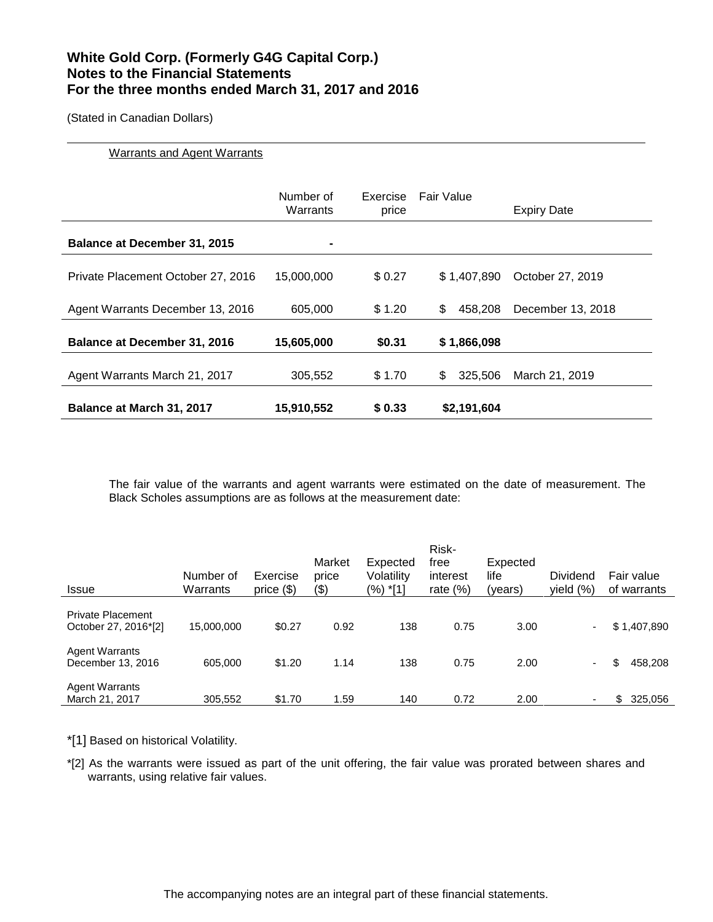(Stated in Canadian Dollars)

### Warrants and Agent Warrants

|                                     | Number of<br>Warrants | Exercise<br>price | Fair Value     | <b>Expiry Date</b> |
|-------------------------------------|-----------------------|-------------------|----------------|--------------------|
| <b>Balance at December 31, 2015</b> | ۰                     |                   |                |                    |
| Private Placement October 27, 2016  | 15,000,000            | \$0.27            | \$1.407.890    | October 27, 2019   |
| Agent Warrants December 13, 2016    | 605.000               | \$1.20            | \$<br>458.208  | December 13, 2018  |
| <b>Balance at December 31, 2016</b> | 15,605,000            | \$0.31            | \$1,866,098    |                    |
| Agent Warrants March 21, 2017       | 305,552               | \$1.70            | \$.<br>325,506 | March 21, 2019     |
| <b>Balance at March 31, 2017</b>    | 15,910,552            | \$0.33            | \$2,191,604    |                    |

The fair value of the warrants and agent warrants were estimated on the date of measurement. The Black Scholes assumptions are as follows at the measurement date:

| <b>Issue</b>                                     | Number of<br>Warrants | Exercise<br>price $(\$)$ | Market<br>price<br>(3) | Expected<br>Volatility<br>(%) *[1] | Risk-<br>free<br>interest<br>rate $(\%)$ | Expected<br>life<br>(years) | Dividend<br>yield $(\%)$ | Fair value<br>of warrants |
|--------------------------------------------------|-----------------------|--------------------------|------------------------|------------------------------------|------------------------------------------|-----------------------------|--------------------------|---------------------------|
| <b>Private Placement</b><br>October 27, 2016*[2] | 15,000,000            | \$0.27                   | 0.92                   | 138                                | 0.75                                     | 3.00                        | Ξ.                       | \$1,407,890               |
| <b>Agent Warrants</b><br>December 13, 2016       | 605,000               | \$1.20                   | 1.14                   | 138                                | 0.75                                     | 2.00                        | ۰.                       | 458,208<br>\$             |
| <b>Agent Warrants</b><br>March 21, 2017          | 305,552               | \$1.70                   | 1.59                   | 140                                | 0.72                                     | 2.00                        |                          | \$<br>325,056             |

\*[1] Based on historical Volatility.

\*[2] As the warrants were issued as part of the unit offering, the fair value was prorated between shares and warrants, using relative fair values.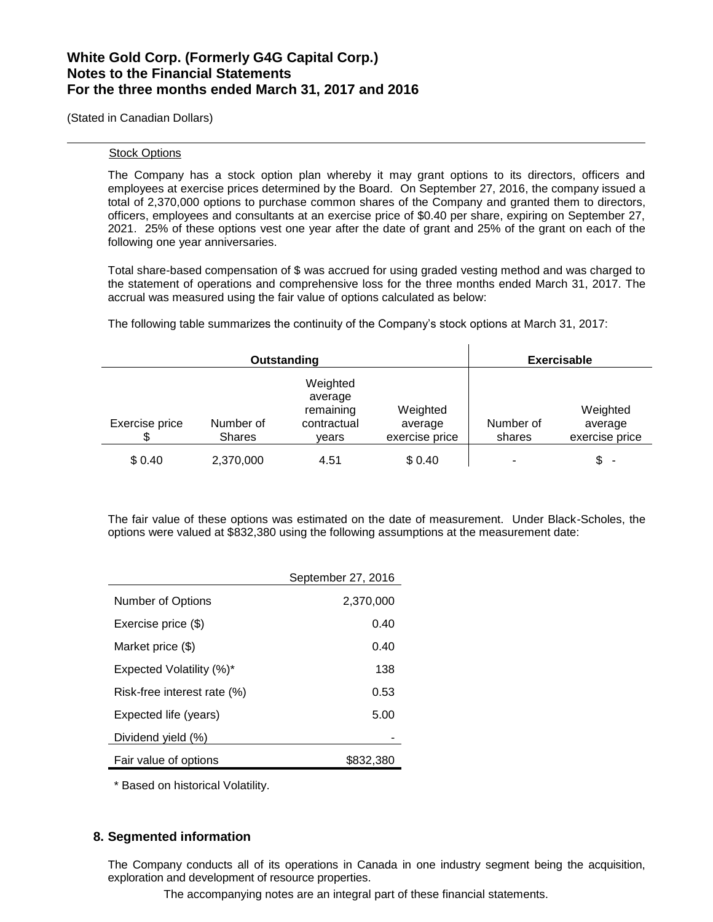(Stated in Canadian Dollars)

#### Stock Options

The Company has a stock option plan whereby it may grant options to its directors, officers and employees at exercise prices determined by the Board. On September 27, 2016, the company issued a total of 2,370,000 options to purchase common shares of the Company and granted them to directors, officers, employees and consultants at an exercise price of \$0.40 per share, expiring on September 27, 2021. 25% of these options vest one year after the date of grant and 25% of the grant on each of the following one year anniversaries.

Total share-based compensation of \$ was accrued for using graded vesting method and was charged to the statement of operations and comprehensive loss for the three months ended March 31, 2017. The accrual was measured using the fair value of options calculated as below:

The following table summarizes the continuity of the Company's stock options at March 31, 2017:

|                |                            | Outstanding                                              |                                       |                     | <b>Exercisable</b>                    |
|----------------|----------------------------|----------------------------------------------------------|---------------------------------------|---------------------|---------------------------------------|
| Exercise price | Number of<br><b>Shares</b> | Weighted<br>average<br>remaining<br>contractual<br>vears | Weighted<br>average<br>exercise price | Number of<br>shares | Weighted<br>average<br>exercise price |
| \$0.40         | 2,370,000                  | 4.51                                                     | \$0.40                                |                     | \$<br>$\overline{\phantom{a}}$        |

The fair value of these options was estimated on the date of measurement. Under Black-Scholes, the options were valued at \$832,380 using the following assumptions at the measurement date:

|                                 | September 27, 2016 |
|---------------------------------|--------------------|
| Number of Options               | 2,370,000          |
| Exercise price (\$)             | 0.40               |
| Market price (\$)               | 0.40               |
| <b>Expected Volatility (%)*</b> | 138                |
| Risk-free interest rate (%)     | 0.53               |
| Expected life (years)           | 5.00               |
| Dividend yield (%)              |                    |
| Fair value of options           | \$832,380          |

\* Based on historical Volatility.

## **8. Segmented information**

The Company conducts all of its operations in Canada in one industry segment being the acquisition, exploration and development of resource properties.

The accompanying notes are an integral part of these financial statements.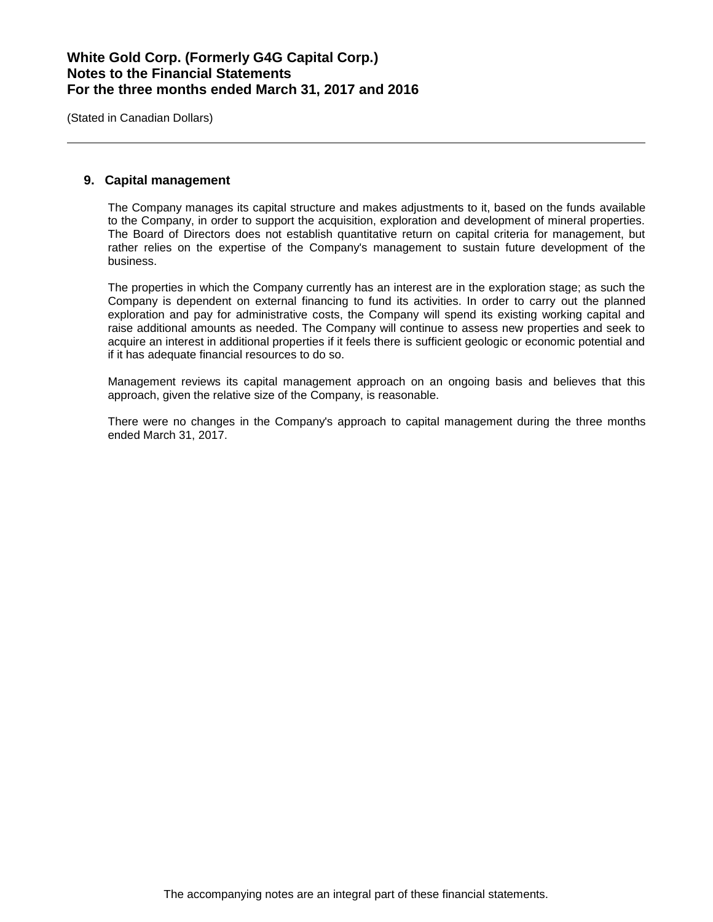(Stated in Canadian Dollars)

### **9. Capital management**

The Company manages its capital structure and makes adjustments to it, based on the funds available to the Company, in order to support the acquisition, exploration and development of mineral properties. The Board of Directors does not establish quantitative return on capital criteria for management, but rather relies on the expertise of the Company's management to sustain future development of the business.

The properties in which the Company currently has an interest are in the exploration stage; as such the Company is dependent on external financing to fund its activities. In order to carry out the planned exploration and pay for administrative costs, the Company will spend its existing working capital and raise additional amounts as needed. The Company will continue to assess new properties and seek to acquire an interest in additional properties if it feels there is sufficient geologic or economic potential and if it has adequate financial resources to do so.

Management reviews its capital management approach on an ongoing basis and believes that this approach, given the relative size of the Company, is reasonable.

There were no changes in the Company's approach to capital management during the three months ended March 31, 2017.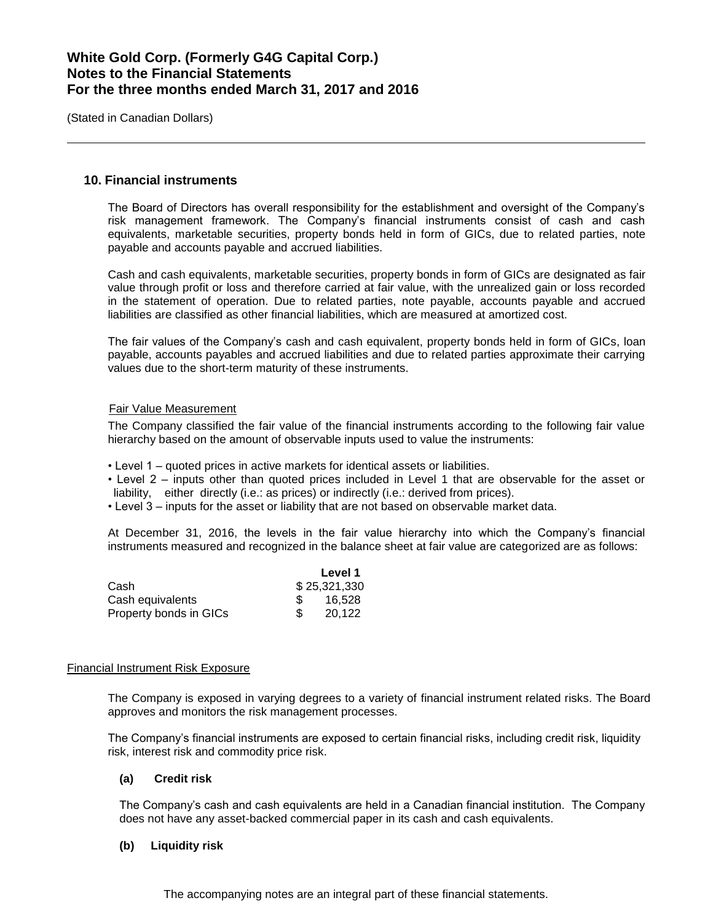(Stated in Canadian Dollars)

## **10. Financial instruments**

The Board of Directors has overall responsibility for the establishment and oversight of the Company's risk management framework. The Company's financial instruments consist of cash and cash equivalents, marketable securities, property bonds held in form of GICs, due to related parties, note payable and accounts payable and accrued liabilities.

Cash and cash equivalents, marketable securities, property bonds in form of GICs are designated as fair value through profit or loss and therefore carried at fair value, with the unrealized gain or loss recorded in the statement of operation. Due to related parties, note payable, accounts payable and accrued liabilities are classified as other financial liabilities, which are measured at amortized cost.

The fair values of the Company's cash and cash equivalent, property bonds held in form of GICs, loan payable, accounts payables and accrued liabilities and due to related parties approximate their carrying values due to the short-term maturity of these instruments.

### Fair Value Measurement

The Company classified the fair value of the financial instruments according to the following fair value hierarchy based on the amount of observable inputs used to value the instruments:

- Level 1 quoted prices in active markets for identical assets or liabilities.
- Level 2 inputs other than quoted prices included in Level 1 that are observable for the asset or liability, either directly (i.e.: as prices) or indirectly (i.e.: derived from prices).
- Level 3 inputs for the asset or liability that are not based on observable market data.

At December 31, 2016, the levels in the fair value hierarchy into which the Company's financial instruments measured and recognized in the balance sheet at fair value are categorized are as follows:

|                        |     | Level 1      |
|------------------------|-----|--------------|
| Cash                   |     | \$25,321,330 |
| Cash equivalents       | SS. | 16.528       |
| Property bonds in GICs |     | 20.122       |

#### Financial Instrument Risk Exposure

The Company is exposed in varying degrees to a variety of financial instrument related risks. The Board approves and monitors the risk management processes.

The Company's financial instruments are exposed to certain financial risks, including credit risk, liquidity risk, interest risk and commodity price risk.

### **(a) Credit risk**

The Company's cash and cash equivalents are held in a Canadian financial institution. The Company does not have any asset-backed commercial paper in its cash and cash equivalents.

#### **(b) Liquidity risk**

The accompanying notes are an integral part of these financial statements.